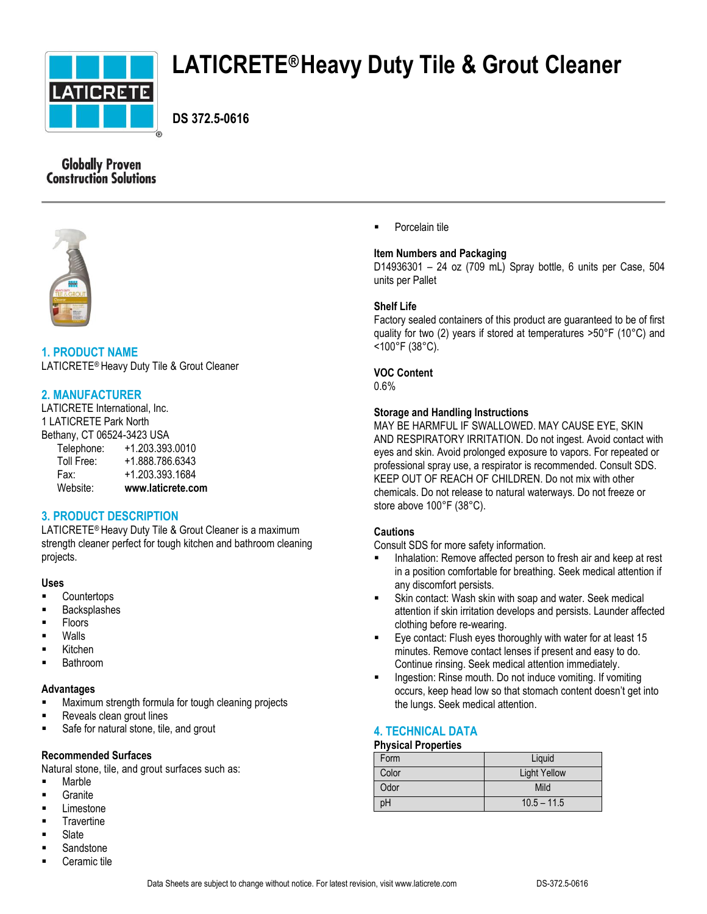

# **LATICRETE®Heavy Duty Tile & Grout Cleaner**

 **DS 372.5-0616**

# **Globally Proven Construction Solutions**



## **1. PRODUCT NAME**

LATICRETE® Heavy Duty Tile & Grout Cleaner

## **2. MANUFACTURER**

LATICRETE International, Inc. 1 LATICRETE Park North Bethany, CT 06524-3423 USA Telephone: +1.203.393.0010 Toll Free: +1.888.786.6343 Fax: +1.203.393.1684 Website: **www.laticrete.com**

## **3. PRODUCT DESCRIPTION**

LATICRETE® Heavy Duty Tile & Grout Cleaner is a maximum strength cleaner perfect for tough kitchen and bathroom cleaning projects.

#### **Uses**

- **Countertops**
- Backsplashes
- Floors
- Walls
- Kitchen
- Bathroom

#### **Advantages**

- Maximum strength formula for tough cleaning projects
- **Reveals clean grout lines**
- **Safe for natural stone, tile, and grout**

#### **Recommended Surfaces**

Natural stone, tile, and grout surfaces such as:

- **Marble**
- Granite
- **Limestone**
- **Travertine**
- **Slate**
- **Sandstone** Ceramic tile

Porcelain tile

#### **Item Numbers and Packaging**

D14936301 – 24 oz (709 mL) Spray bottle, 6 units per Case, 504 units per Pallet

#### **Shelf Life**

Factory sealed containers of this product are guaranteed to be of first quality for two (2) years if stored at temperatures >50°F (10°C) and <100°F (38°C).

#### **VOC Content**

0.6%

#### **Storage and Handling Instructions**

MAY BE HARMFUL IF SWALLOWED. MAY CAUSE EYE, SKIN AND RESPIRATORY IRRITATION. Do not ingest. Avoid contact with eyes and skin. Avoid prolonged exposure to vapors. For repeated or professional spray use, a respirator is recommended. Consult SDS. KEEP OUT OF REACH OF CHILDREN. Do not mix with other chemicals. Do not release to natural waterways. Do not freeze or store above 100°F (38°C).

#### **Cautions**

Consult SDS for more safety information.

- Inhalation: Remove affected person to fresh air and keep at rest in a position comfortable for breathing. Seek medical attention if any discomfort persists.
- Skin contact: Wash skin with soap and water. Seek medical attention if skin irritation develops and persists. Launder affected clothing before re-wearing.
- Eye contact: Flush eyes thoroughly with water for at least 15 minutes. Remove contact lenses if present and easy to do. Continue rinsing. Seek medical attention immediately.
- Ingestion: Rinse mouth. Do not induce vomiting. If vomiting occurs, keep head low so that stomach content doesn't get into the lungs. Seek medical attention.

## **4. TECHNICAL DATA**

#### **Physical Properties**

| Form  | Liquid              |
|-------|---------------------|
| Color | <b>Light Yellow</b> |
| Odor  | Mild                |
| pН    | $10.5 - 11.5$       |